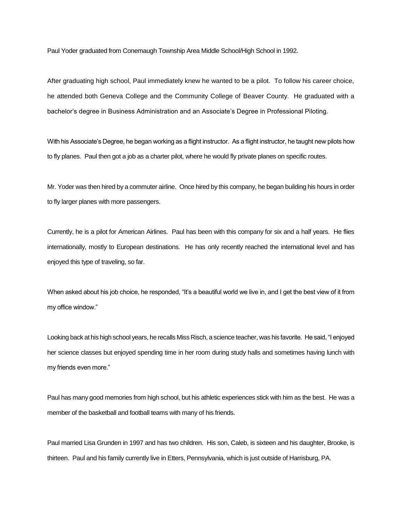Paul Yoder graduated from Conemaugh Township Area Middle School/High School in 1992.

After graduating high school, Paul immediately knew he wanted to be a pilot. To follow his career choice, he attended both Geneva College and the Community College of Beaver County. He graduated with a bachelor's degree in Business Administration and an Associate's Degree in Professional Piloting.

With his Associate's Degree, he began working as a flight instructor. As a flight instructor, he taught new pilots how to fly planes. Paul then got a job as a charter pilot, where he would fly private planes on specific routes.

Mr. Yoder was then hired by a commuter airline. Once hired by this company, he began building his hours in order to fly larger planes with more passengers.

Currently, he is a pilot for American Airlines. Paul has been with this company for six and a half years. He flies internationally, mostly to European destinations. He has only recently reached the international level and has enjoyed this type of traveling, so far.

When asked about his job choice, he responded, "It's a beautiful world we live in, and I get the best view of it from my office window."

Looking back at his high school years, he recalls Miss Risch, a science teacher, was his favorite. He said, "I enjoyed her science classes but enjoyed spending time in her room during study halls and sometimes having lunch with my friends even more."

Paul has many good memories from high school, but his athletic experiences stick with him as the best. He was a member of the basketball and football teams with many of his friends.

Paul married Lisa Grunden in 1997 and has two children. His son, Caleb, is sixteen and his daughter, Brooke, is thirteen. Paul and his family currently live in Etters, Pennsylvania, which is just outside of Harrisburg, PA.